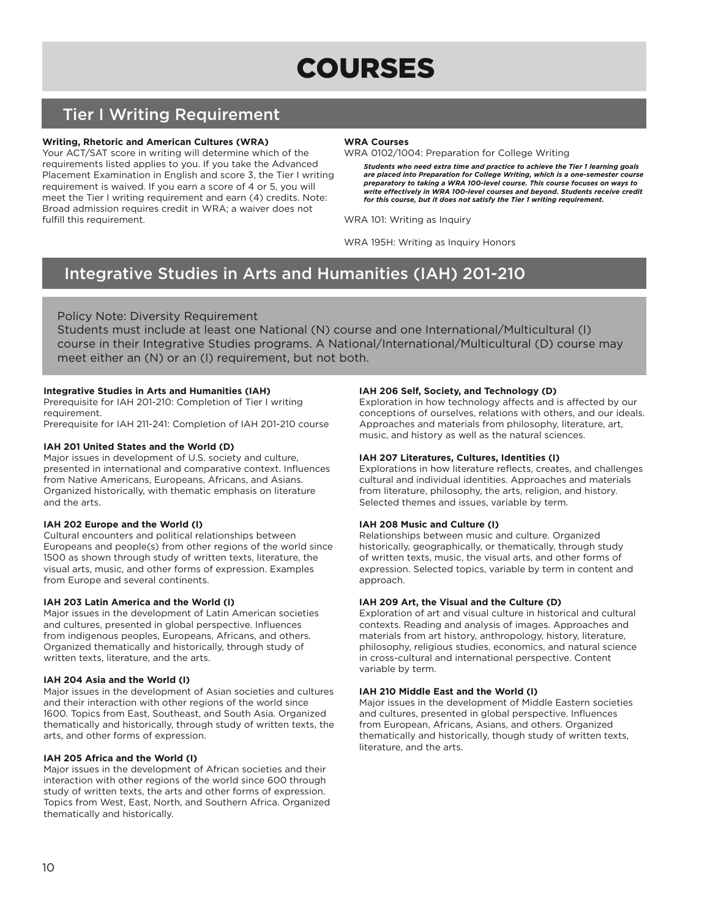# Tier I Writing Requirement

# **Writing, Rhetoric and American Cultures (WRA)**

Your ACT/SAT score in writing will determine which of the requirements listed applies to you. If you take the Advanced Placement Examination in English and score 3, the Tier I writing requirement is waived. If you earn a score of 4 or 5, you will meet the Tier I writing requirement and earn (4) credits. Note: Broad admission requires credit in WRA; a waiver does not fulfill this requirement.

#### **WRA Courses**

WRA 0102/1004: Preparation for College Writing

*Students who need extra time and practice to achieve the Tier 1 learning goals are placed into Preparation for College Writing, which is a one-semester course preparatory to taking a WRA 100-level course. This course focuses on ways to write effectively in WRA 100-level courses and beyond. Students receive credit for this course, but it does not satisfy the Tier 1 writing requirement.*

WRA 101: Writing as Inquiry

WRA 195H: Writing as Inquiry Honors

# Integrative Studies in Arts and Humanities (IAH) 201-210

# Policy Note: Diversity Requirement

Students must include at least one National (N) course and one International/Multicultural (I) course in their Integrative Studies programs. A National/International/Multicultural (D) course may meet either an (N) or an (I) requirement, but not both.

# **Integrative Studies in Arts and Humanities (IAH)**

Prerequisite for IAH 201-210: Completion of Tier I writing requirement.

Prerequisite for IAH 211-241: Completion of IAH 201-210 course

# **IAH 201 United States and the World (D)**

Major issues in development of U.S. society and culture, presented in international and comparative context. Influences from Native Americans, Europeans, Africans, and Asians. Organized historically, with thematic emphasis on literature and the arts.

# **IAH 202 Europe and the World (I)**

Cultural encounters and political relationships between Europeans and people(s) from other regions of the world since 1500 as shown through study of written texts, literature, the visual arts, music, and other forms of expression. Examples from Europe and several continents.

# **IAH 203 Latin America and the World (I)**

Major issues in the development of Latin American societies and cultures, presented in global perspective. Influences from indigenous peoples, Europeans, Africans, and others. Organized thematically and historically, through study of written texts, literature, and the arts.

# **IAH 204 Asia and the World (I)**

Major issues in the development of Asian societies and cultures and their interaction with other regions of the world since 1600. Topics from East, Southeast, and South Asia. Organized thematically and historically, through study of written texts, the arts, and other forms of expression.

# **IAH 205 Africa and the World (I)**

Major issues in the development of African societies and their interaction with other regions of the world since 600 through study of written texts, the arts and other forms of expression. Topics from West, East, North, and Southern Africa. Organized thematically and historically.

# **IAH 206 Self, Society, and Technology (D)**

Exploration in how technology affects and is affected by our conceptions of ourselves, relations with others, and our ideals. Approaches and materials from philosophy, literature, art, music, and history as well as the natural sciences.

#### **IAH 207 Literatures, Cultures, Identities (I)**

Explorations in how literature reflects, creates, and challenges cultural and individual identities. Approaches and materials from literature, philosophy, the arts, religion, and history. Selected themes and issues, variable by term.

# **IAH 208 Music and Culture (I)**

Relationships between music and culture. Organized historically, geographically, or thematically, through study of written texts, music, the visual arts, and other forms of expression. Selected topics, variable by term in content and approach.

# **IAH 209 Art, the Visual and the Culture (D)**

Exploration of art and visual culture in historical and cultural contexts. Reading and analysis of images. Approaches and materials from art history, anthropology, history, literature, philosophy, religious studies, economics, and natural science in cross-cultural and international perspective. Content variable by term.

# **IAH 210 Middle East and the World (I)**

Major issues in the development of Middle Eastern societies and cultures, presented in global perspective. Influences from European, Africans, Asians, and others. Organized thematically and historically, though study of written texts, literature, and the arts.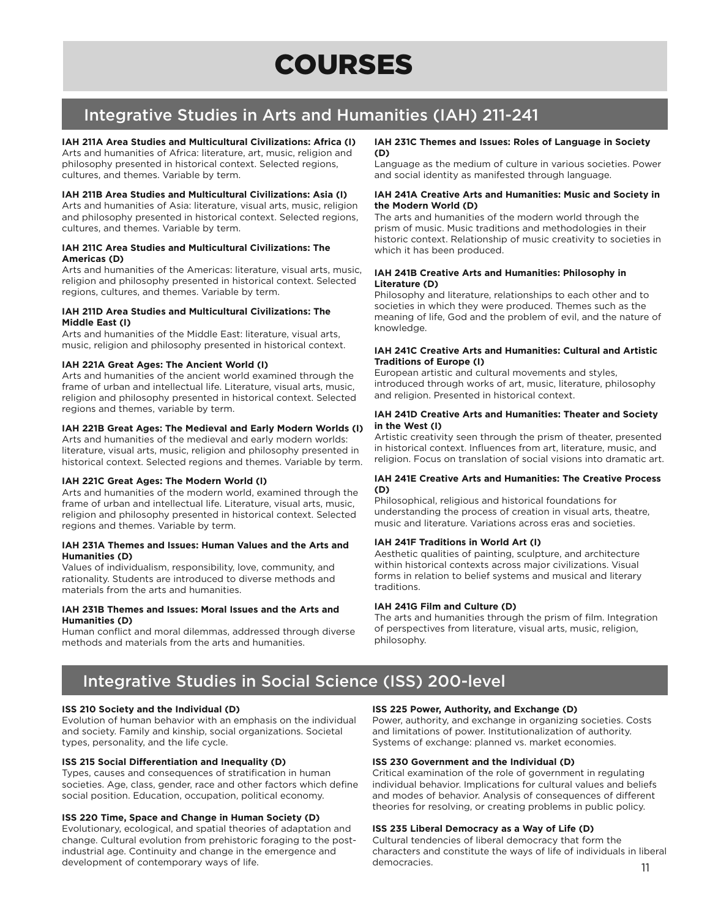# Integrative Studies in Arts and Humanities (IAH) 211-241

# **IAH 211A Area Studies and Multicultural Civilizations: Africa (I)**

Arts and humanities of Africa: literature, art, music, religion and philosophy presented in historical context. Selected regions, cultures, and themes. Variable by term.

# **IAH 211B Area Studies and Multicultural Civilizations: Asia (I)**

Arts and humanities of Asia: literature, visual arts, music, religion and philosophy presented in historical context. Selected regions, cultures, and themes. Variable by term.

# **IAH 211C Area Studies and Multicultural Civilizations: The Americas (D)**

Arts and humanities of the Americas: literature, visual arts, music, religion and philosophy presented in historical context. Selected regions, cultures, and themes. Variable by term.

#### **IAH 211D Area Studies and Multicultural Civilizations: The Middle East (I)**

Arts and humanities of the Middle East: literature, visual arts, music, religion and philosophy presented in historical context.

# **IAH 221A Great Ages: The Ancient World (I)**

Arts and humanities of the ancient world examined through the frame of urban and intellectual life. Literature, visual arts, music, religion and philosophy presented in historical context. Selected regions and themes, variable by term.

# **IAH 221B Great Ages: The Medieval and Early Modern Worlds (I)**

Arts and humanities of the medieval and early modern worlds: literature, visual arts, music, religion and philosophy presented in historical context. Selected regions and themes. Variable by term.

# **IAH 221C Great Ages: The Modern World (I)**

Arts and humanities of the modern world, examined through the frame of urban and intellectual life. Literature, visual arts, music, religion and philosophy presented in historical context. Selected regions and themes. Variable by term.

# **IAH 231A Themes and Issues: Human Values and the Arts and Humanities (D)**

Values of individualism, responsibility, love, community, and rationality. Students are introduced to diverse methods and materials from the arts and humanities.

#### **IAH 231B Themes and Issues: Moral Issues and the Arts and Humanities (D)**

Human conflict and moral dilemmas, addressed through diverse methods and materials from the arts and humanities.

#### **IAH 231C Themes and Issues: Roles of Language in Society (D)**

Language as the medium of culture in various societies. Power and social identity as manifested through language.

#### **IAH 241A Creative Arts and Humanities: Music and Society in the Modern World (D)**

The arts and humanities of the modern world through the prism of music. Music traditions and methodologies in their historic context. Relationship of music creativity to societies in which it has been produced.

# **IAH 241B Creative Arts and Humanities: Philosophy in Literature (D)**

Philosophy and literature, relationships to each other and to societies in which they were produced. Themes such as the meaning of life, God and the problem of evil, and the nature of knowledge.

# **IAH 241C Creative Arts and Humanities: Cultural and Artistic Traditions of Europe (I)**

European artistic and cultural movements and styles, introduced through works of art, music, literature, philosophy and religion. Presented in historical context.

#### **IAH 241D Creative Arts and Humanities: Theater and Society in the West (I)**

Artistic creativity seen through the prism of theater, presented in historical context. Influences from art, literature, music, and religion. Focus on translation of social visions into dramatic art.

# **IAH 241E Creative Arts and Humanities: The Creative Process (D)**

Philosophical, religious and historical foundations for understanding the process of creation in visual arts, theatre, music and literature. Variations across eras and societies.

# **IAH 241F Traditions in World Art (I)**

Aesthetic qualities of painting, sculpture, and architecture within historical contexts across major civilizations. Visual forms in relation to belief systems and musical and literary traditions.

# **IAH 241G Film and Culture (D)**

The arts and humanities through the prism of film. Integration of perspectives from literature, visual arts, music, religion, philosophy.

# Integrative Studies in Social Science (ISS) 200-level

# **ISS 210 Society and the Individual (D)**

Evolution of human behavior with an emphasis on the individual and society. Family and kinship, social organizations. Societal types, personality, and the life cycle.

# **ISS 215 Social Differentiation and Inequality (D)**

Types, causes and consequences of stratification in human societies. Age, class, gender, race and other factors which define social position. Education, occupation, political economy.

# **ISS 220 Time, Space and Change in Human Society (D)**

Evolutionary, ecological, and spatial theories of adaptation and change. Cultural evolution from prehistoric foraging to the postindustrial age. Continuity and change in the emergence and development of contemporary ways of life.

#### **ISS 225 Power, Authority, and Exchange (D)**

Power, authority, and exchange in organizing societies. Costs and limitations of power. Institutionalization of authority. Systems of exchange: planned vs. market economies.

# **ISS 230 Government and the Individual (D)**

Critical examination of the role of government in regulating individual behavior. Implications for cultural values and beliefs and modes of behavior. Analysis of consequences of different theories for resolving, or creating problems in public policy.

# **ISS 235 Liberal Democracy as a Way of Life (D)**

Cultural tendencies of liberal democracy that form the characters and constitute the ways of life of individuals in liberal democracies.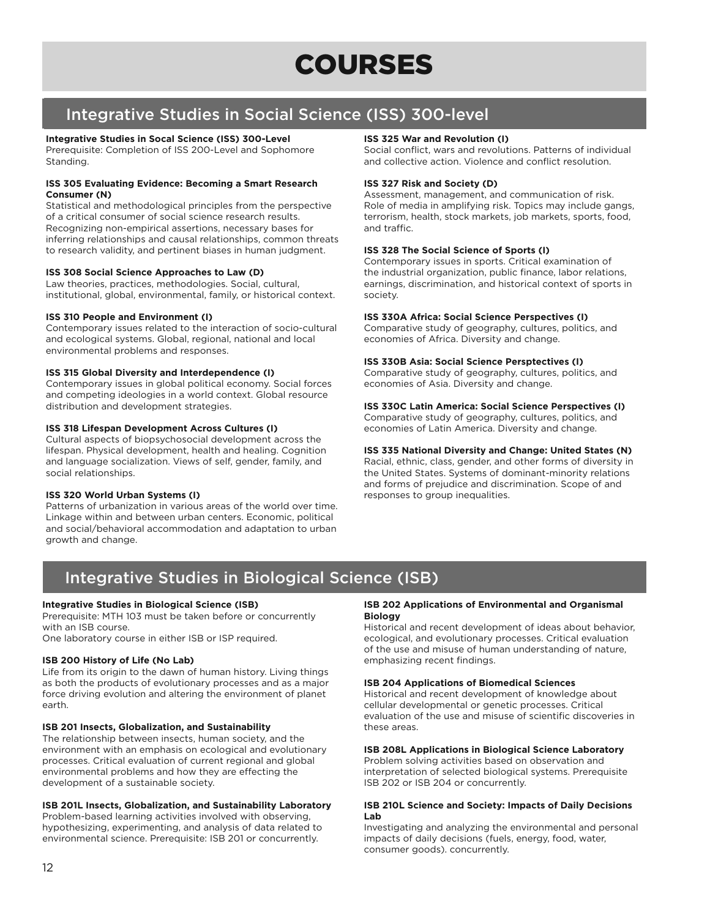# Integrative Studies in Social Science (ISS) 300-level

# **Integrative Studies in Socal Science (ISS) 300-Level**

Prerequisite: Completion of ISS 200-Level and Sophomore Standing.

# **ISS 305 Evaluating Evidence: Becoming a Smart Research Consumer (N)**

Statistical and methodological principles from the perspective of a critical consumer of social science research results. Recognizing non-empirical assertions, necessary bases for inferring relationships and causal relationships, common threats to research validity, and pertinent biases in human judgment.

# **ISS 308 Social Science Approaches to Law (D)**

Law theories, practices, methodologies. Social, cultural, institutional, global, environmental, family, or historical context.

# **ISS 310 People and Environment (I)**

Contemporary issues related to the interaction of socio-cultural and ecological systems. Global, regional, national and local environmental problems and responses.

# **ISS 315 Global Diversity and Interdependence (I)**

Contemporary issues in global political economy. Social forces and competing ideologies in a world context. Global resource distribution and development strategies.

# **ISS 318 Lifespan Development Across Cultures (I)**

Cultural aspects of biopsychosocial development across the lifespan. Physical development, health and healing. Cognition and language socialization. Views of self, gender, family, and social relationships.

# **ISS 320 World Urban Systems (I)**

Patterns of urbanization in various areas of the world over time. Linkage within and between urban centers. Economic, political and social/behavioral accommodation and adaptation to urban growth and change.

# **ISS 325 War and Revolution (I)**

Social conflict, wars and revolutions. Patterns of individual and collective action. Violence and conflict resolution.

# **ISS 327 Risk and Society (D)**

Assessment, management, and communication of risk. Role of media in amplifying risk. Topics may include gangs, terrorism, health, stock markets, job markets, sports, food, and traffic.

# **ISS 328 The Social Science of Sports (I)**

Contemporary issues in sports. Critical examination of the industrial organization, public finance, labor relations, earnings, discrimination, and historical context of sports in society.

# **ISS 330A Africa: Social Science Perspectives (I)**

Comparative study of geography, cultures, politics, and economies of Africa. Diversity and change.

# **ISS 330B Asia: Social Science Persptectives (I)**

Comparative study of geography, cultures, politics, and economies of Asia. Diversity and change.

# **ISS 330C Latin America: Social Science Perspectives (I)**

Comparative study of geography, cultures, politics, and economies of Latin America. Diversity and change.

# **ISS 335 National Diversity and Change: United States (N)**

Racial, ethnic, class, gender, and other forms of diversity in the United States. Systems of dominant-minority relations and forms of prejudice and discrimination. Scope of and responses to group inequalities.

# Integrative Studies in Biological Science (ISB)

# **Integrative Studies in Biological Science (ISB)**

Prerequisite: MTH 103 must be taken before or concurrently with an ISB course.

One laboratory course in either ISB or ISP required.

# **ISB 200 History of Life (No Lab)**

Life from its origin to the dawn of human history. Living things as both the products of evolutionary processes and as a major force driving evolution and altering the environment of planet earth.

# **ISB 201 Insects, Globalization, and Sustainability**

The relationship between insects, human society, and the environment with an emphasis on ecological and evolutionary processes. Critical evaluation of current regional and global environmental problems and how they are effecting the development of a sustainable society.

# **ISB 201L Insects, Globalization, and Sustainability Laboratory**

Problem-based learning activities involved with observing, hypothesizing, experimenting, and analysis of data related to environmental science. Prerequisite: ISB 201 or concurrently.

#### **ISB 202 Applications of Environmental and Organismal Biology**

Historical and recent development of ideas about behavior, ecological, and evolutionary processes. Critical evaluation of the use and misuse of human understanding of nature, emphasizing recent findings.

# **ISB 204 Applications of Biomedical Sciences**

Historical and recent development of knowledge about cellular developmental or genetic processes. Critical evaluation of the use and misuse of scientific discoveries in these areas.

# **ISB 208L Applications in Biological Science Laboratory**

Problem solving activities based on observation and interpretation of selected biological systems. Prerequisite ISB 202 or ISB 204 or concurrently.

# **ISB 210L Science and Society: Impacts of Daily Decisions Lab**

Investigating and analyzing the environmental and personal impacts of daily decisions (fuels, energy, food, water, consumer goods). concurrently.